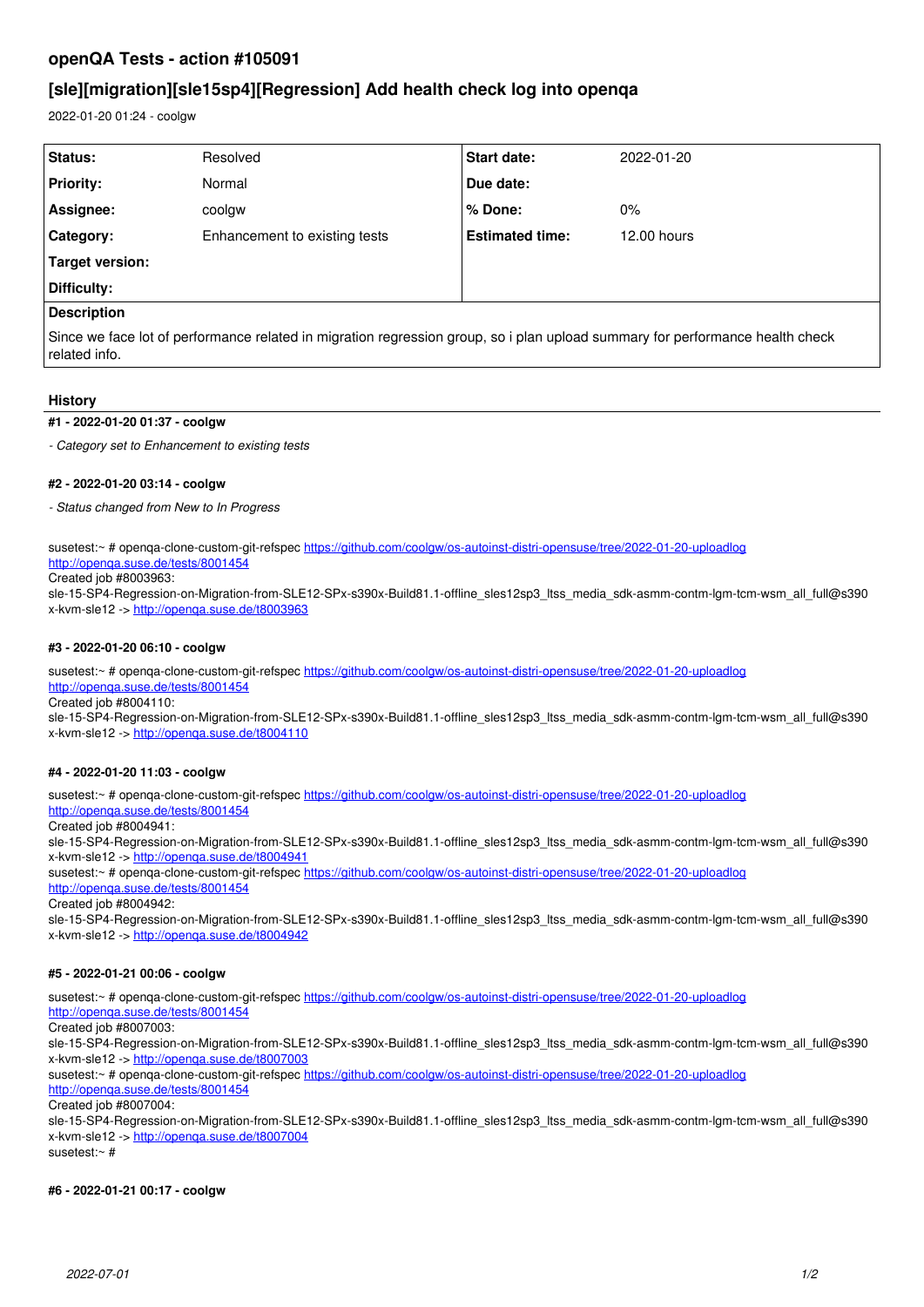# **openQA Tests - action #105091**

# **[sle][migration][sle15sp4][Regression] Add health check log into openqa**

2022-01-20 01:24 - coolgw

| Status:            | Resolved                      | <b>Start date:</b>     | 2022-01-20  |
|--------------------|-------------------------------|------------------------|-------------|
| <b>Priority:</b>   | Normal                        | Due date:              |             |
| Assignee:          | coolgw                        | ∣% Done:               | $0\%$       |
| Category:          | Enhancement to existing tests | <b>Estimated time:</b> | 12.00 hours |
| Target version:    |                               |                        |             |
| Difficulty:        |                               |                        |             |
| <b>Description</b> |                               |                        |             |

Since we face lot of performance related in migration regression group, so i plan upload summary for performance health check related info.

## **History**

## **#1 - 2022-01-20 01:37 - coolgw**

*- Category set to Enhancement to existing tests*

### **#2 - 2022-01-20 03:14 - coolgw**

*- Status changed from New to In Progress*

susetest:~ # openqa-clone-custom-git-refspec <https://github.com/coolgw/os-autoinst-distri-opensuse/tree/2022-01-20-uploadlog>

# <http://openqa.suse.de/tests/8001454>

Created job #8003963: sle-15-SP4-Regression-on-Migration-from-SLE12-SPx-s390x-Build81.1-offline\_sles12sp3\_ltss\_media\_sdk-asmm-contm-lgm-tcm-wsm\_all\_full@s390

x-kvm-sle12 -><http://openqa.suse.de/t8003963>

### **#3 - 2022-01-20 06:10 - coolgw**

susetest:~ # openqa-clone-custom-git-refspec <https://github.com/coolgw/os-autoinst-distri-opensuse/tree/2022-01-20-uploadlog> <http://openqa.suse.de/tests/8001454>

Created job #8004110:

sle-15-SP4-Regression-on-Migration-from-SLE12-SPx-s390x-Build81.1-offline\_sles12sp3\_ltss\_media\_sdk-asmm-contm-lgm-tcm-wsm\_all\_full@s390 x-kvm-sle12 -><http://openqa.suse.de/t8004110>

## **#4 - 2022-01-20 11:03 - coolgw**

susetest:~ # openqa-clone-custom-git-refspec <https://github.com/coolgw/os-autoinst-distri-opensuse/tree/2022-01-20-uploadlog> <http://openqa.suse.de/tests/8001454>

#### Created job #8004941:

sle-15-SP4-Regression-on-Migration-from-SLE12-SPx-s390x-Build81.1-offline\_sles12sp3\_ltss\_media\_sdk-asmm-contm-lgm-tcm-wsm\_all\_full@s390 x-kvm-sle12 -><http://openqa.suse.de/t8004941>

susetest:~ # openqa-clone-custom-git-refspec <https://github.com/coolgw/os-autoinst-distri-opensuse/tree/2022-01-20-uploadlog> <http://openqa.suse.de/tests/8001454>

Created job #8004942:

sle-15-SP4-Regression-on-Migration-from-SLE12-SPx-s390x-Build81.1-offline\_sles12sp3\_ltss\_media\_sdk-asmm-contm-lgm-tcm-wsm\_all\_full@s390 x-kvm-sle12 -><http://openqa.suse.de/t8004942>

## **#5 - 2022-01-21 00:06 - coolgw**

susetest:~ # openqa-clone-custom-git-refspec <https://github.com/coolgw/os-autoinst-distri-opensuse/tree/2022-01-20-uploadlog>

<http://openqa.suse.de/tests/8001454>

Created job #8007003:

sle-15-SP4-Regression-on-Migration-from-SLE12-SPx-s390x-Build81.1-offline\_sles12sp3\_ltss\_media\_sdk-asmm-contm-lgm-tcm-wsm\_all\_full@s390 x-kvm-sle12 -><http://openqa.suse.de/t8007003>

susetest:~ # openqa-clone-custom-git-refspec <https://github.com/coolgw/os-autoinst-distri-opensuse/tree/2022-01-20-uploadlog>

<http://openqa.suse.de/tests/8001454>

Created job #8007004:

sle-15-SP4-Regression-on-Migration-from-SLE12-SPx-s390x-Build81.1-offline\_sles12sp3\_ltss\_media\_sdk-asmm-contm-lgm-tcm-wsm\_all\_full@s390 x-kvm-sle12 -><http://openqa.suse.de/t8007004>

susetest:~ #

#### **#6 - 2022-01-21 00:17 - coolgw**